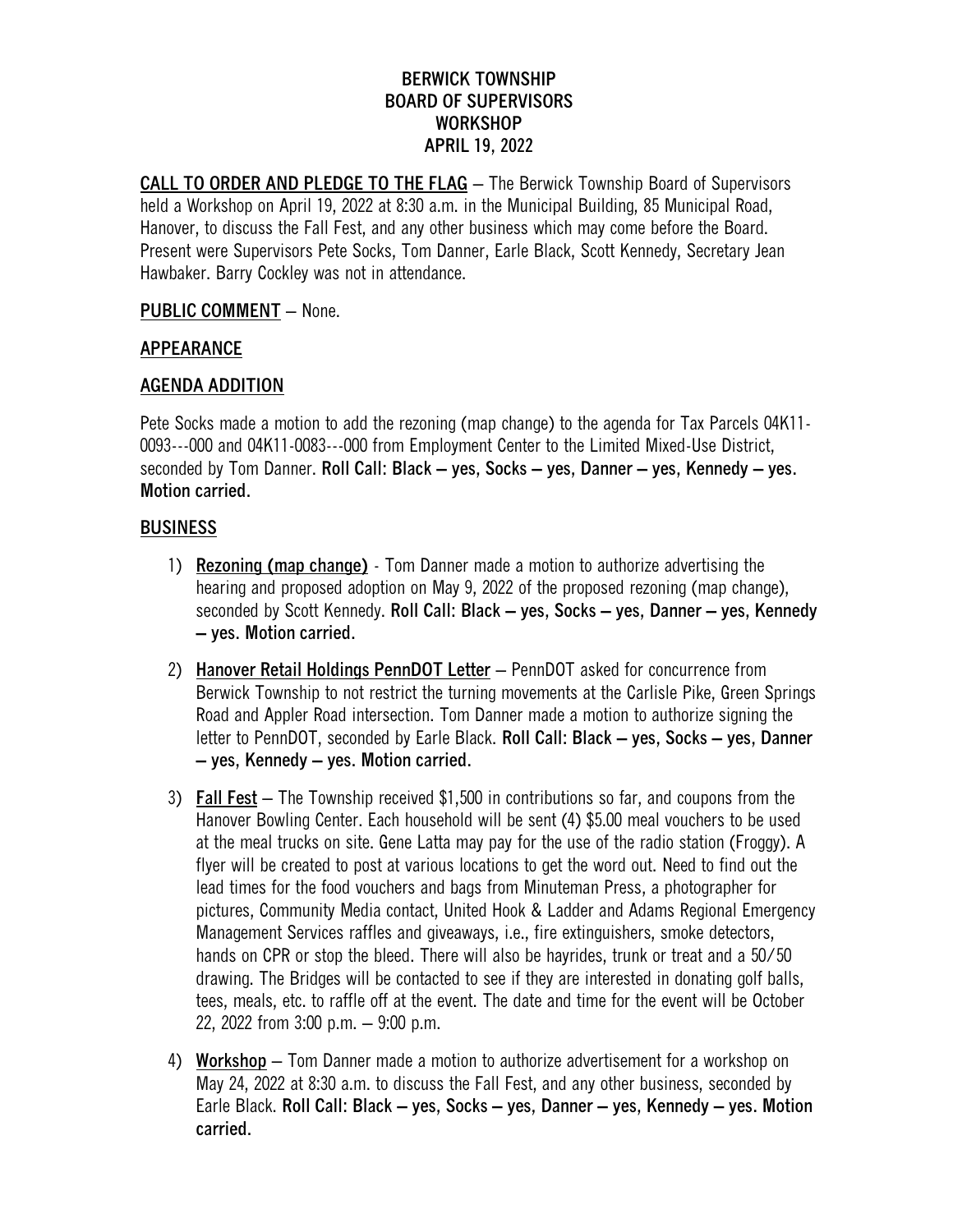## **BERWICK TOWNSHIP BOARD OF SUPERVISORS WORKSHOP APRIL 19, 2022**

**CALL TO ORDER AND PLEDGE TO THE FLAG** – The Berwick Township Board of Supervisors held a Workshop on April 19, 2022 at 8:30 a.m. in the Municipal Building, 85 Municipal Road, Hanover, to discuss the Fall Fest, and any other business which may come before the Board. Present were Supervisors Pete Socks, Tom Danner, Earle Black, Scott Kennedy, Secretary Jean Hawbaker. Barry Cockley was not in attendance.

### **PUBLIC COMMENT** – None.

## **APPEARANCE**

### **AGENDA ADDITION**

Pete Socks made a motion to add the rezoning (map change) to the agenda for Tax Parcels 04K11- 0093---000 and 04K11-0083---000 from Employment Center to the Limited Mixed-Use District, seconded by Tom Danner. **Roll Call: Black – yes, Socks – yes, Danner – yes, Kennedy – yes. Motion carried.**

### **BUSINESS**

- 1) **Rezoning (map change)** Tom Danner made a motion to authorize advertising the hearing and proposed adoption on May 9, 2022 of the proposed rezoning (map change), seconded by Scott Kennedy. **Roll Call: Black – yes, Socks – yes, Danner – yes, Kennedy – yes. Motion carried.**
- 2) **Hanover Retail Holdings PennDOT Letter** PennDOT asked for concurrence from Berwick Township to not restrict the turning movements at the Carlisle Pike, Green Springs Road and Appler Road intersection. Tom Danner made a motion to authorize signing the letter to PennDOT, seconded by Earle Black. **Roll Call: Black – yes, Socks – yes, Danner – yes, Kennedy – yes. Motion carried.**
- 3) **Fall Fest** The Township received \$1,500 in contributions so far, and coupons from the Hanover Bowling Center. Each household will be sent (4) \$5.00 meal vouchers to be used at the meal trucks on site. Gene Latta may pay for the use of the radio station (Froggy). A flyer will be created to post at various locations to get the word out. Need to find out the lead times for the food vouchers and bags from Minuteman Press, a photographer for pictures, Community Media contact, United Hook & Ladder and Adams Regional Emergency Management Services raffles and giveaways, i.e., fire extinguishers, smoke detectors, hands on CPR or stop the bleed. There will also be havrides, trunk or treat and a 50/50 drawing. The Bridges will be contacted to see if they are interested in donating golf balls, tees, meals, etc. to raffle off at the event. The date and time for the event will be October 22, 2022 from 3:00 p.m. – 9:00 p.m.
- 4) **Workshop** Tom Danner made a motion to authorize advertisement for a workshop on May 24, 2022 at 8:30 a.m. to discuss the Fall Fest, and any other business, seconded by Earle Black. **Roll Call: Black – yes, Socks – yes, Danner – yes, Kennedy – yes. Motion carried.**